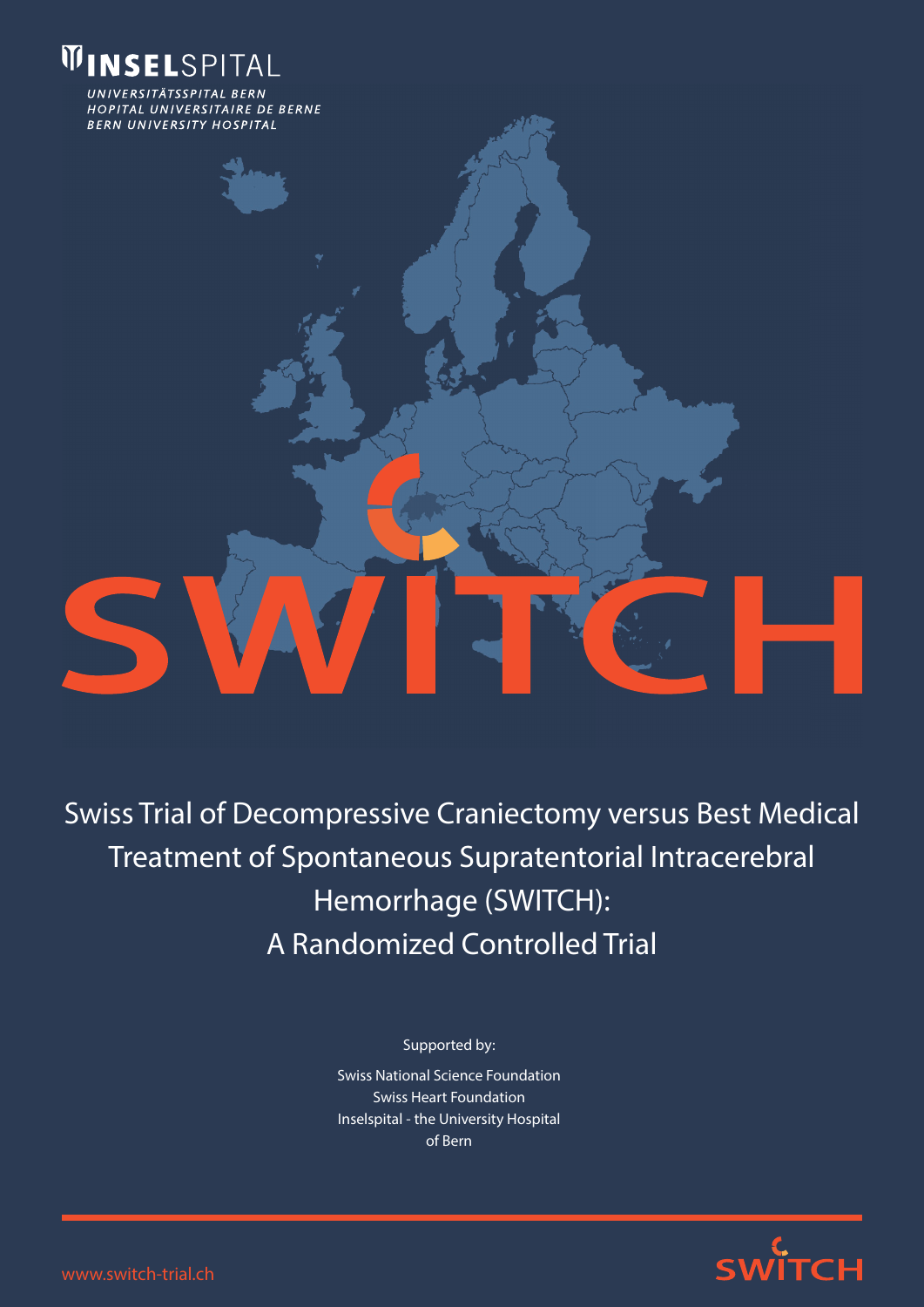

UNIVERSITÄTSSPITAL BERN HOPITAL UNIVERSITAIRE DE BERNE **BERN UNIVERSITY HOSPITAL** 

# Swiss Trial of Decompressive Craniectomy versus Best Medical Treatment of Spontaneous Supratentorial Intracerebral Hemorrhage (SWITCH): A Randomized Controlled Trial

Supported by:

Swiss National Science Foundation Swiss Heart Foundation Inselspital - the University Hospital of Bern



www.switch-trial.ch

S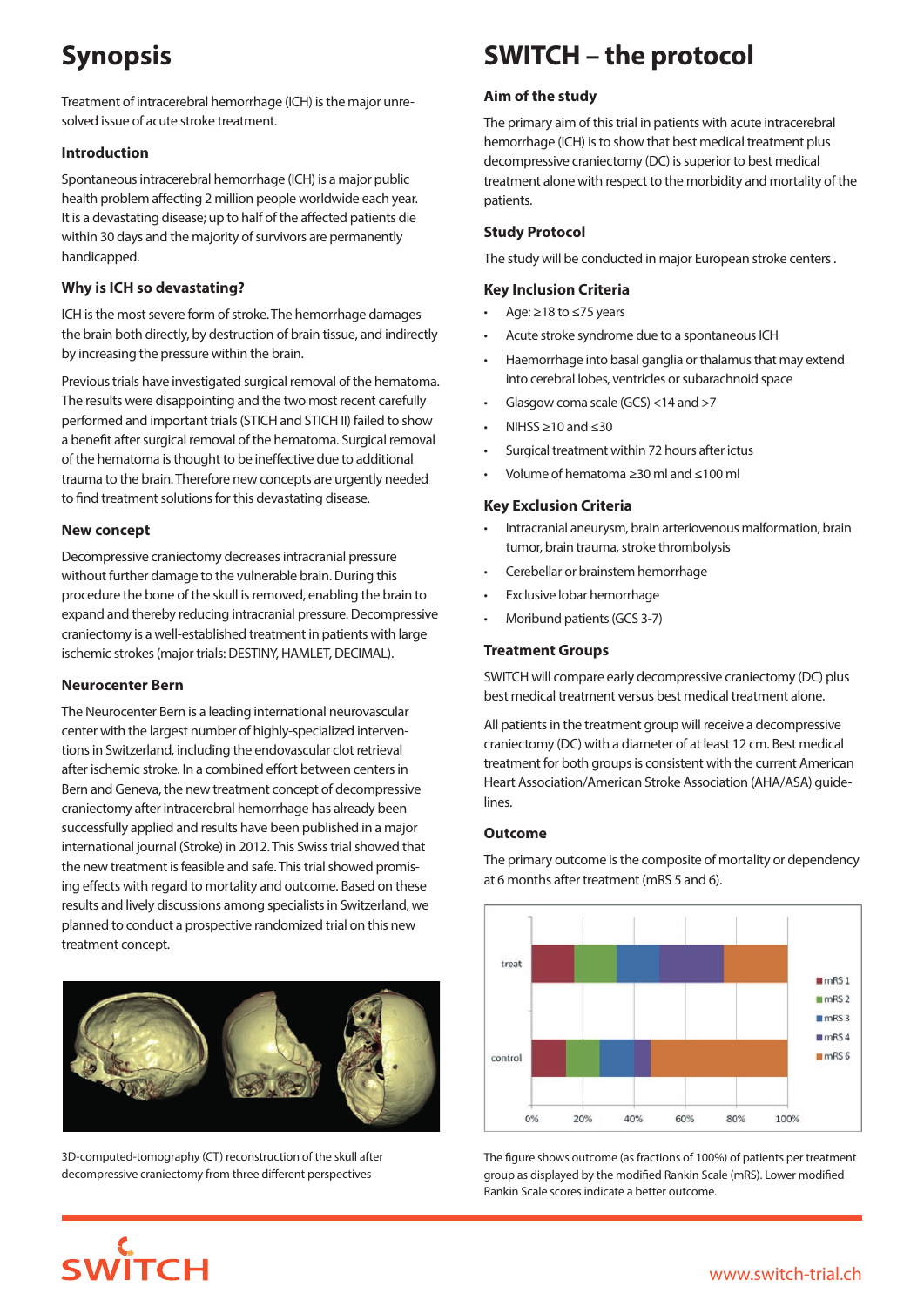## **Synopsis**

Treatment of intracerebral hemorrhage (ICH) is the major unresolved issue of acute stroke treatment.

#### **Introduction**

Spontaneous intracerebral hemorrhage (ICH) is a major public health problem affecting 2 million people worldwide each year. It is a devastating disease; up to half of the affected patients die within 30 days and the majority of survivors are permanently handicapped.

#### **Why is ICH so devastating?**

ICH is the most severe form of stroke. The hemorrhage damages the brain both directly, by destruction of brain tissue, and indirectly by increasing the pressure within the brain.

Previous trials have investigated surgical removal of the hematoma. The results were disappointing and the two most recent carefully performed and important trials (STICH and STICH II) failed to show a benefit after surgical removal of the hematoma. Surgical removal of the hematoma is thought to be ineffective due to additional trauma to the brain. Therefore new concepts are urgently needed to find treatment solutions for this devastating disease.

#### **New concept**

Decompressive craniectomy decreases intracranial pressure without further damage to the vulnerable brain. During this procedure the bone of the skull is removed, enabling the brain to expand and thereby reducing intracranial pressure. Decompressive craniectomy is a well-established treatment in patients with large ischemic strokes (major trials: DESTINY, HAMLET, DECIMAL).

#### **Neurocenter Bern**

The Neurocenter Bern is a leading international neurovascular center with the largest number of highly-specialized interventions in Switzerland, including the endovascular clot retrieval after ischemic stroke. In a combined effort between centers in Bern and Geneva, the new treatment concept of decompressive craniectomy after intracerebral hemorrhage has already been successfully applied and results have been published in a major international journal (Stroke) in 2012. This Swiss trial showed that the new treatment is feasible and safe. This trial showed promising effects with regard to mortality and outcome. Based on these results and lively discussions among specialists in Switzerland, we planned to conduct a prospective randomized trial on this new treatment concept.



3D-computed-tomography (CT) reconstruction of the skull after decompressive craniectomy from three different perspectives

**WITCH** 

## **SWITCH – the protocol**

#### **Aim of the study**

The primary aim of this trial in patients with acute intracerebral hemorrhage (ICH) is to show that best medical treatment plus decompressive craniectomy (DC) is superior to best medical treatment alone with respect to the morbidity and mortality of the patients.

#### **Study Protocol**

The study will be conducted in major European stroke centers .

#### **Key Inclusion Criteria**

- Age: ≥18 to ≤75 years
- Acute stroke syndrome due to a spontaneous ICH
- • Haemorrhage into basal ganglia or thalamus that may extend into cerebral lobes, ventricles or subarachnoid space
- Glasgow coma scale (GCS)  $<$ 14 and  $>$ 7
- NIHSS  $\geq$ 10 and  $\leq$ 30
- Surgical treatment within 72 hours after ictus
- • Volume of hematoma ≥30 ml and ≤100 ml

#### **Key Exclusion Criteria**

- • Intracranial aneurysm, brain arteriovenous malformation, brain tumor, brain trauma, stroke thrombolysis
- Cerebellar or brainstem hemorrhage
- Exclusive lobar hemorrhage
- Moribund patients (GCS 3-7)

#### **Treatment Groups**

SWITCH will compare early decompressive craniectomy (DC) plus best medical treatment versus best medical treatment alone.

All patients in the treatment group will receive a decompressive craniectomy (DC) with a diameter of at least 12 cm. Best medical treatment for both groups is consistent with the current American Heart Association/American Stroke Association (AHA/ASA) guidelines.

#### **Outcome**

The primary outcome is the composite of mortality or dependency at 6 months after treatment (mRS 5 and 6).



The figure shows outcome (as fractions of 100%) of patients per treatment group as displayed by the modified Rankin Scale (mRS). Lower modified Rankin Scale scores indicate a better outcome.

### www.switch-trial.ch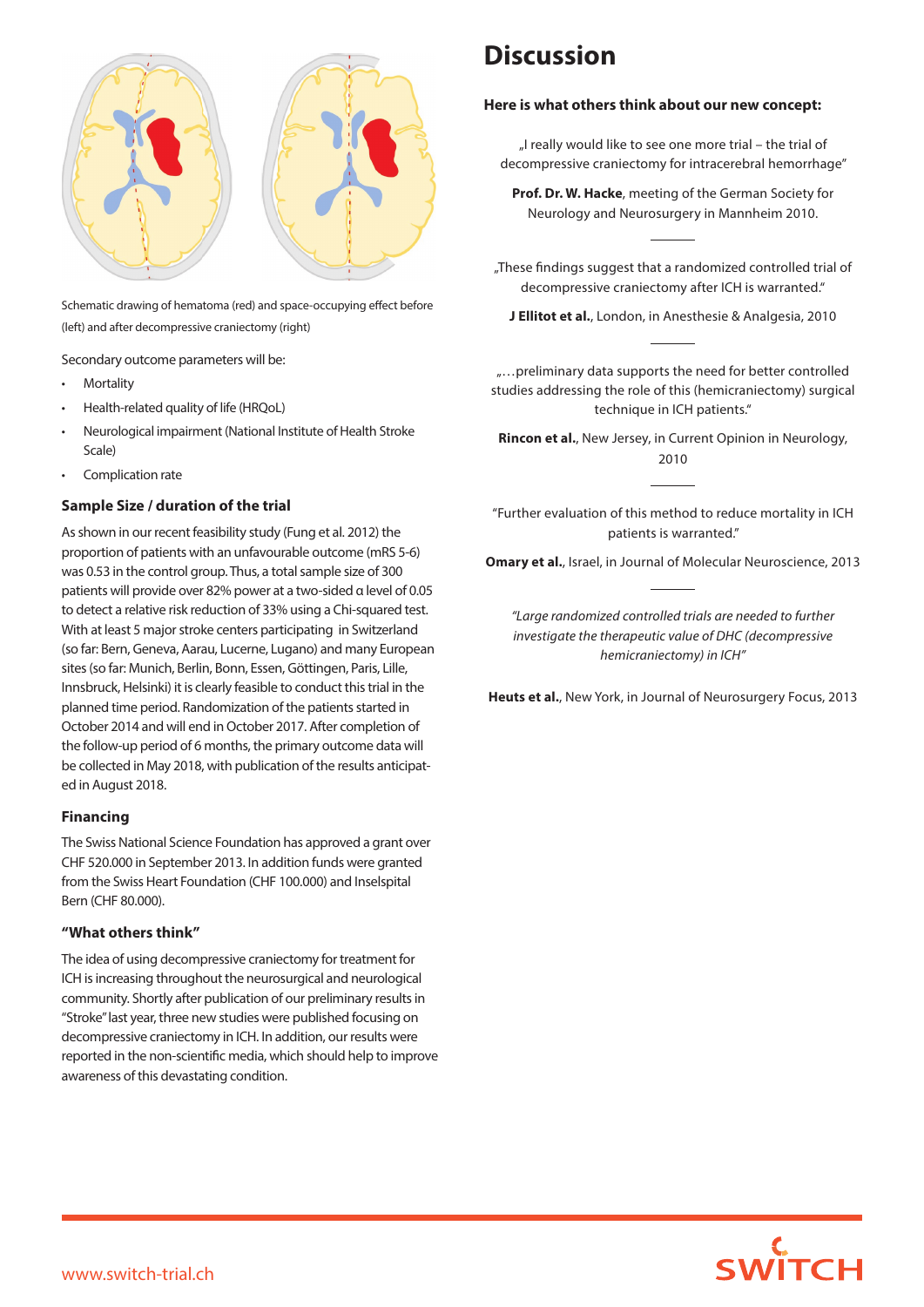

Schematic drawing of hematoma (red) and space-occupying effect before (left) and after decompressive craniectomy (right)

Secondary outcome parameters will be:

- **Mortality**
- Health-related quality of life (HRQoL)
- Neurological impairment (National Institute of Health Stroke Scale)
- Complication rate

#### **Sample Size / duration of the trial**

As shown in our recent feasibility study (Fung et al. 2012) the proportion of patients with an unfavourable outcome (mRS 5-6) was 0.53 in the control group. Thus, a total sample size of 300 patients will provide over 82% power at a two-sided α level of 0.05 to detect a relative risk reduction of 33% using a Chi-squared test. With at least 5 major stroke centers participating in Switzerland (so far: Bern, Geneva, Aarau, Lucerne, Lugano) and many European sites (so far: Munich, Berlin, Bonn, Essen, Göttingen, Paris, Lille, Innsbruck, Helsinki) it is clearly feasible to conduct this trial in the planned time period. Randomization of the patients started in October 2014 and will end in October 2017. After completion of the follow-up period of 6 months, the primary outcome data will be collected in May 2018, with publication of the results anticipated in August 2018.

#### **Financing**

The Swiss National Science Foundation has approved a grant over CHF 520.000 in September 2013. In addition funds were granted from the Swiss Heart Foundation (CHF 100.000) and Inselspital Bern (CHF 80.000).

#### **"What others think"**

The idea of using decompressive craniectomy for treatment for ICH is increasing throughout the neurosurgical and neurological community. Shortly after publication of our preliminary results in "Stroke" last year, three new studies were published focusing on decompressive craniectomy in ICH. In addition, our results were reported in the non-scientific media, which should help to improve awareness of this devastating condition.

## **Discussion**

#### **Here is what others think about our new concept:**

"I really would like to see one more trial – the trial of decompressive craniectomy for intracerebral hemorrhage"

**Prof. Dr. W. Hacke**, meeting of the German Society for Neurology and Neurosurgery in Mannheim 2010.

"These findings suggest that a randomized controlled trial of decompressive craniectomy after ICH is warranted."

**J Ellitot et al.**, London, in Anesthesie & Analgesia, 2010

"…preliminary data supports the need for better controlled studies addressing the role of this (hemicraniectomy) surgical technique in ICH patients."

**Rincon et al.**, New Jersey, in Current Opinion in Neurology, 2010

"Further evaluation of this method to reduce mortality in ICH patients is warranted."

**Omary et al.**, Israel, in Journal of Molecular Neuroscience, 2013

*"Large randomized controlled trials are needed to further investigate the therapeutic value of DHC (decompressive hemicraniectomy) in ICH"*

**Heuts et al.**, New York, in Journal of Neurosurgery Focus, 2013